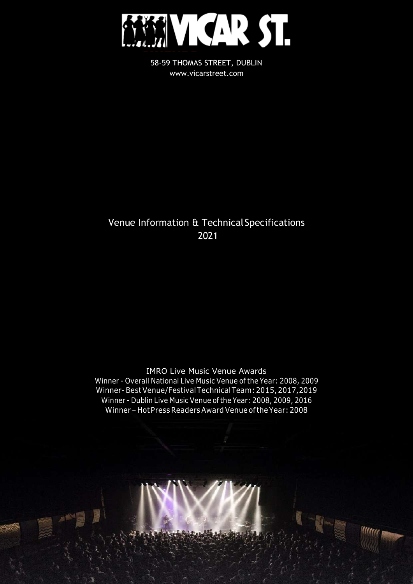

58-59 THOMAS STREET, DUBLIN [www.vicarstreet.com](http://www.vicarstreet.com/)

## Venue Information & Technical Specifications 2021

IMRO Live Music Venue Awards Winner - Overall National Live Music Venue of the Year: 2008, 2009 Winner-BestVenue/FestivalTechnicalTeam:2015, 2017,2019 Winner - Dublin Live Music Venue of the Year: 2008, 2009, 2016 Winner– HotPressReadersAward Venue ofthe Year:2008

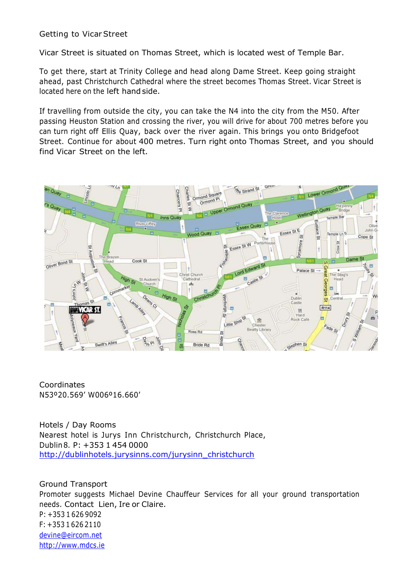## Getting to VicarStreet

Vicar Street is situated on Thomas Street, which is located west of Temple Bar.

To get there, start at Trinity College and head along Dame Street. Keep going straight ahead, past Christchurch Cathedral where the street becomes Thomas Street. Vicar Street is located here on the left hand side.

If travelling from outside the city, you can take the N4 into the city from the M50. After passing Heuston Station and crossing the river, you will drive for about 700 metres before you can turn right off Ellis Quay, back over the river again. This brings you onto Bridgefoot Street. Continue for about 400 metres. Turn right onto Thomas Street, and you should find Vicar Street on the left.



Coordinates N53º20.569' W006º16.660'

Hotels / Day Rooms Nearest hotel is Jurys Inn Christchurch, Christchurch Place, Dublin8. P: +353 1 454 0000 [http://dublinhotels.jurysinns.com/jurysinn\\_christchurch](http://dublinhotels.jurysinns.com/jurysinn_christchurch)

Ground Transport Promoter suggests Michael Devine Chauffeur Services for all your ground transportation needs. Contact Lien, Ire or Claire. P: +353 1 626 9092 F: +353 1 626 2110 [devine@eircom.net](mailto:devine@eircom.net) [http://www.mdcs.ie](http://www.mdcs.ie/)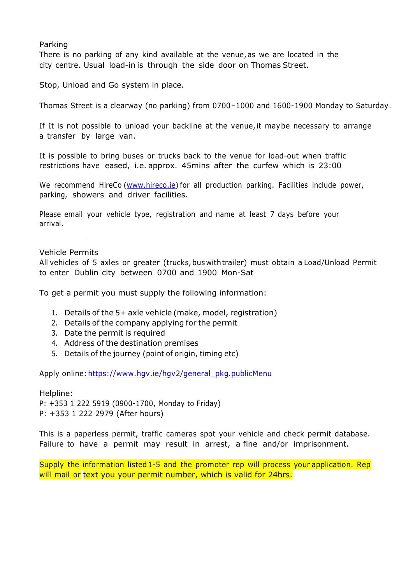#### Parking

There is no parking of any kind available at the venue, as we are located in the city centre. Usual load-in is through the side door on Thomas Street.

Stop, Unload and Go system in place.

Thomas Street is a clearway (no parking) from 0700–1000 and 1600-1900 Monday to Saturday.

If It is not possible to unload your backline at the venue,it maybe necessary to arrange a transfer by large van.

It is possible to bring buses or trucks back to the venue for load-out when traffic restrictions have eased, i.e. approx. 45mins after the curfew which is 23:00

We recommend HireCo [\(www.hireco.ie\)](http://www.hireco.ie/) for all production parking. Facilities include power, parking, showers and driver facilities.

Please email your vehicle type, registration and name at least 7 days before your arrival.

Vehicle Permits

All vehicles of 5 axles or greater (trucks, bus withtrailer) must obtain a Load/Unload Permit to enter Dublin city between 0700 and 1900 Mon-Sat

To get a permit you must supply the following information:

- 1. Details of the 5+ axle vehicle (make, model, registration)
- 2. Details of the company applying for the permit
- 3. Date the permit is required
- 4. Address of the destination premises
- 5. Details of the journey (point of origin, timing etc)

Apply online: [https://www.hgv.ie/hgv2/general\\_pkg.publicMenu](https://www.hgv.ie/hgv2/general_pkg.publicMenu)

Helpline: P: +353 1 222 5919 (0900-1700, Monday to Friday) P: +353 1 222 2979 (After hours)

This is a paperless permit, traffic cameras spot your vehicle and check permit database. Failure to have a permit may result in arrest, a fine and/or imprisonment.

Supply the information listed 1-5 and the promoter rep will process your application. Rep will mail or text you your permit number, which is valid for 24hrs.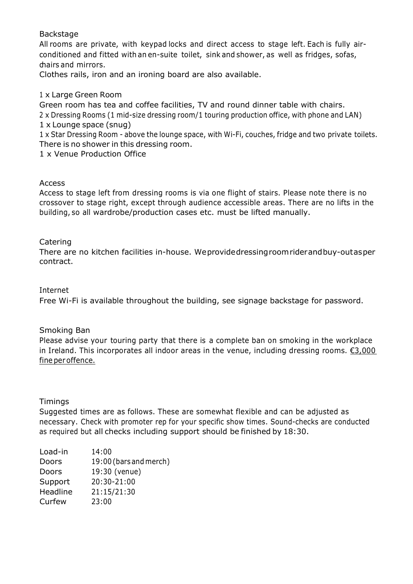## Backstage

All rooms are private, with keypad locks and direct access to stage left. Each is fully airconditioned and fitted with an en-suite toilet, sink and shower, as well as fridges, sofas, chairs and mirrors.

Clothes rails, iron and an ironing board are also available.

## 1 x Large Green Room

Green room has tea and coffee facilities, TV and round dinner table with chairs. 2 x Dressing Rooms (1 mid-size dressing room/1 touring production office, with phone and LAN) 1 x Lounge space (snug)

1 x Star Dressing Room - above the lounge space, with Wi-Fi, couches, fridge and two private toilets. There is no shower in this dressing room.

1 x Venue Production Office

## Access

Access to stage left from dressing rooms is via one flight of stairs. Please note there is no crossover to stage right, except through audience accessible areas. There are no lifts in the building, so all wardrobe/production cases etc. must be lifted manually.

## Catering

There are no kitchen facilities in-house. Weprovidedressingroomriderandbuy-outasper contract.

#### Internet

Free Wi-Fi is available throughout the building, see signage backstage for password.

## Smoking Ban

Please advise your touring party that there is a complete ban on smoking in the workplace in Ireland. This incorporates all indoor areas in the venue, including dressing rooms.  $E3,000$ fine peroffence.

## **Timings**

Suggested times are as follows. These are somewhat flexible and can be adjusted as necessary. Check with promoter rep for your specific show times. Sound-checks are conducted as required but all checks including support should be finished by 18:30.

| Load-in  | 14:00                  |
|----------|------------------------|
| Doors    | 19:00 (bars and merch) |
| Doors    | 19:30 (venue)          |
| Support  | 20:30-21:00            |
| Headline | 21:15/21:30            |
| Curfew   | 23:00                  |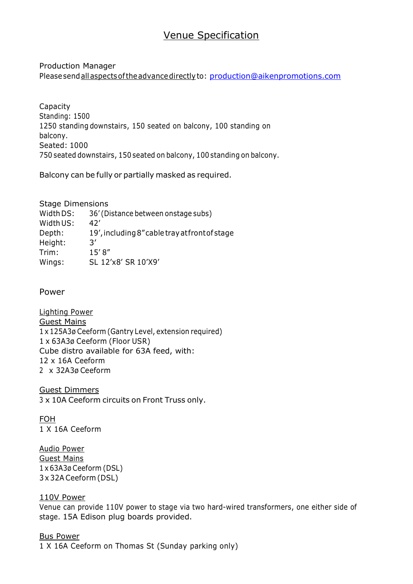## Venue Specification

#### Production Manager Pleasesendall aspectsoftheadvancedirectlyto: [production@aikenpromotions.com](mailto:production@aikenpromotions.com)

Capacity Standing: 1500 1250 standing downstairs, 150 seated on balcony, 100 standing on balcony. Seated: 1000 750 seated downstairs, 150 seated on balcony, 100 standing on balcony.

Balcony can be fully or partially masked as required.

Stage Dimensions Width DS: 36' (Distance between onstage subs) Width US: 42' Depth: 19',including 8"cable trayatfrontof stage Height: 3' Trim: 15' 8" Wings: SL 12'x8' SR 10'X9'

Power

Lighting Power Guest Mains 1 x 125A3ø Ceeform (Gantry Level, extension required) 1 x 63A3ø Ceeform (Floor USR) Cube distro available for 63A feed, with: 12 x 16A Ceeform 2 x 32A3ø Ceeform

Guest Dimmers 3 x 10A Ceeform circuits on Front Truss only.

FOH 1 X 16A Ceeform

Audio Power Guest Mains 1 x 63A3ø Ceeform (DSL) 3 x 32A Ceeform (DSL)

## 110V Power

Venue can provide 110V power to stage via two hard-wired transformers, one either side of stage. 15A Edison plug boards provided.

Bus Power 1 X 16A Ceeform on Thomas St (Sunday parking only)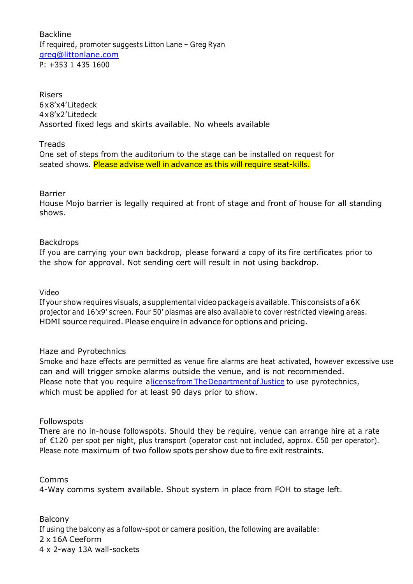Backline If required, promoter suggests Litton Lane – Greg Ryan [greg@littonlane.com](mailto:greg@littonlane.com) P: +353 1 435 1600

Risers 6x8'x4'Litedeck 4x8'x2'Litedeck Assorted fixed legs and skirts available. No wheels available

**Treads** 

One set of steps from the auditorium to the stage can be installed on request for seated shows. Please advise well in advance as this will require seat-kills.

Barrier

House Mojo barrier is legally required at front of stage and front of house for all standing shows.

#### Backdrops

If you are carrying your own backdrop, please forward a copy of its fire certificates prior to the show for approval. Not sending cert will result in not using backdrop.

Video

If your show requires visuals, a supplemental video package is available. This consists of a 6K projector and 16'x9' screen. Four 50' plasmas are also available to cover restricted viewing areas. HDMI source required. Please enquire in advance for options and pricing.

#### Haze and Pyrotechnics

Smoke and haze effects are permitted as venue fire alarms are heat activated, however excessive use can and will trigger smoke alarms outside the venue, and is not recommended. Please note that you require alicensefrom The Department of Justice to use pyrotechnics, which must be applied for at least 90 days prior to show.

#### Followspots

There are no in-house followspots. Should they be require, venue can arrange hire at a rate of €120 per spot per night, plus transport (operator cost not included, approx. €50 per operator). Please note maximum of two follow spots per show due to fire exit restraints.

Comms

4-Way comms system available. Shout system in place from FOH to stage left.

Balcony If using the balcony as a follow-spot or camera position, the following are available: 2 x 16A Ceeform 4 x 2-way 13A wall-sockets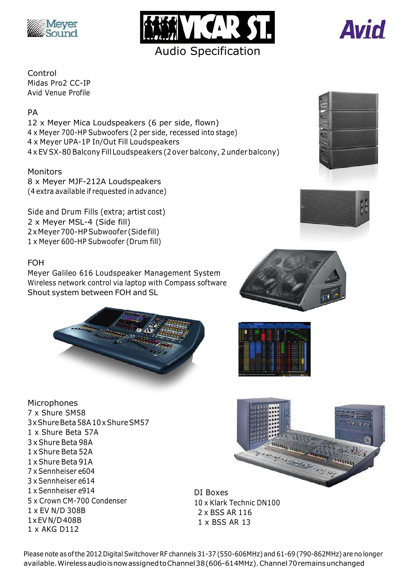





Control Midas Pro2 CC-IP Avid Venue Profile

## PA

12 x Meyer Mica Loudspeakers (6 per side, flown) x Meyer 700-HP Subwoofers (2 per side, recessed into stage) x Meyer UPA-1P In/Out Fill Loudspeakers x EVSX-80 Balcony Fill Loudspeakers (2over balcony, 2 underbalcony)

## Monitors

8 x Meyer MJF-212A Loudspeakers (4 extra available if requested in advance)

Side and Drum Fills (extra; artist cost) 2 x Meyer MSL-4 (Side fill) 2xMeyer700-HP Subwoofer (Sidefill) 1 x Meyer 600-HP Subwoofer (Drum fill)

## FOH

Meyer Galileo 616 Loudspeaker Management System Wireless network control via laptop with Compass software Shout system between FOH and SL







**Microphones** 7 x Shure SM58 3xShureBeta58A10xShureSM57 1 x Shure Beta 57A 3 x Shure Beta 98A 1 x Shure Beta 52A 1 x Shure Beta 91A 7 x Sennheiser e604 3 x Sennheiser e614 1 x Sennheiser e914 5 x Crown CM-700 Condenser 1 x EV N/D 308B 1xEVN/D 408B 1 x AKG D112



DI Boxes 10 x Klark Technic DN100 2 x BSS AR 116 1 x BSS AR 13



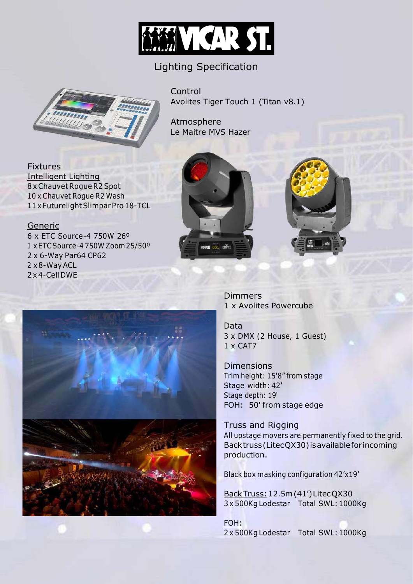

## Lighting Specification



Control Avolites Tiger Touch 1 (Titan v8.1)

Atmosphere Le Maitre MVS Hazer

**Fixtures** Intelligent Lighting 8 x Chauvet Roque R2 Spot 10 x Chauvet Rogue R2 Wash 11 x FuturelightSlimpar Pro 18-TCL

## Generic

6 x ETC Source-4 750W 26º x ETCSource-4 750W Zoom25/50º x 6-Way Par64 CP62 x8-WayACL x 4-Cell DWE





Dimmers 1 x Avolites Powercube

Data 3 x DMX (2 House, 1 Guest) 1 x CAT7

**Dimensions** Trim height: 15'8" from stage Stage width: 42' Stage depth: 19' FOH: 50' from stage edge

Truss and Rigging All upstage movers are permanently fixed to the grid. Backtruss(LitecQX30) isavailableforincoming production.

Black box masking configuration 42'x19'

BackTruss:12.5m(41')LitecQX30 3 x 500Kg Lodestar Total SWL:1000Kg

FOH: 2 x 500Kg Lodestar Total SWL:1000Kg

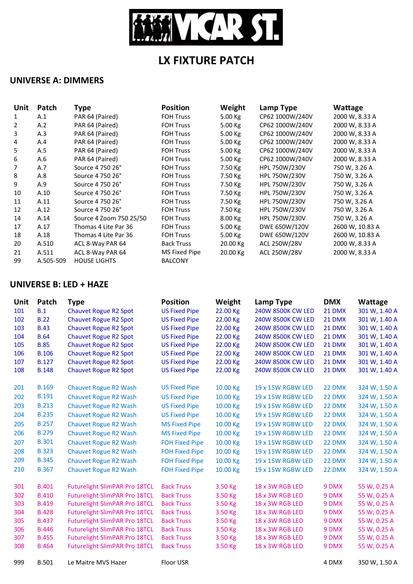

# **LX FIXTURE PATCH**

## **UNIVERSE A: DIMMERS**

| Unit           | Patch     | <b>Type</b>             | <b>Position</b>   | Weight    | Lamp Type            | Wattage         |
|----------------|-----------|-------------------------|-------------------|-----------|----------------------|-----------------|
| $\mathbf{1}$   | A.1       | PAR 64 (Paired)         | <b>FOH Truss</b>  | 5.00 Kg   | CP62 1000W/240V      | 2000 W, 8.33 A  |
| $\overline{2}$ | A.2       | PAR 64 (Paired)         | <b>FOH Truss</b>  | $5.00$ Kg | CP62 1000W/240V      | 2000 W, 8.33 A  |
| 3              | A.3       | PAR 64 (Paired)         | <b>FOH Truss</b>  | 5.00 Kg   | CP62 1000W/240V      | 2000 W, 8.33 A  |
| 4              | A.4       | PAR 64 (Paired)         | <b>FOH Truss</b>  | 5.00 Kg   | CP62 1000W/240V      | 2000 W, 8.33 A  |
| 5              | A.5       | PAR 64 (Paired)         | <b>FOH Truss</b>  | 5.00 Kg   | CP62 1000W/240V      | 2000 W, 8.33 A  |
| 6              | A.6       | PAR 64 (Paired)         | <b>FOH Truss</b>  | 5.00 Kg   | CP62 1000W/240V      | 2000 W, 8.33 A  |
| 7              | A.7       | Source 4 750 26°        | <b>FOH Truss</b>  | 7.50 Kg   | HPL 750W/230V        | 750 W, 3.26 A   |
| 8              | A.8       | Source 4 750 26°        | <b>FOH Truss</b>  | 7.50 Kg   | HPL 750W/230V        | 750 W, 3.26 A   |
| 9              | A.9       | Source 4 750 26°        | <b>FOH Truss</b>  | 7.50 Kg   | HPL 750W/230V        | 750 W, 3.26 A   |
| 10             | A.10      | Source 4 750 26°        | <b>FOH Truss</b>  | 7.50 Kg   | <b>HPL 750W/230V</b> | 750 W, 3.26 A   |
| 11             | A.11      | Source 4 750 26°        | <b>FOH Truss</b>  | 7.50 Kg   | HPL 750W/230V        | 750 W, 3.26 A   |
| 12             | A.12      | Source 4 750 26°        | <b>FOH Truss</b>  | 7.50 Kg   | <b>HPL 750W/230V</b> | 750 W, 3.26 A   |
| 14             | A.14      | Source 4 Zoom 750 25/50 | <b>FOH Truss</b>  | 8.00 Kg   | HPL 750W/230V        | 750 W, 3.26 A   |
| 17             | A.17      | Thomas 4 Lite Par 36    | <b>FOH Truss</b>  | 5.00 Kg   | DWE 650W/120V        | 2600 W, 10.83 A |
| 18             | A.18      | Thomas 4 Lite Par 36    | <b>FOH Truss</b>  | 5.00 Kg   | DWE 650W/120V        | 2600 W, 10.83 A |
| 20             | A.510     | ACL 8-Way PAR 64        | <b>Back Truss</b> | 20.00 Kg  | ACL 250W/28V         | 2000 W, 8.33 A  |
| 21             | A.511     | ACL 8-Way PAR 64        | MS Fixed Pipe     | 20.00 Kg  | ACL 250W/28V         | 2000 W, 8.33 A  |
| 99             | A.505-509 | <b>HOUSE LIGHTS</b>     | <b>BALCONY</b>    |           |                      |                 |

## **UNIVERSE B: LED + HAZE**

| Unit | Patch        | <b>Type</b>                          | <b>Position</b>       | Weight   | Lamp Type                | <b>DMX</b> | Wattage       |
|------|--------------|--------------------------------------|-----------------------|----------|--------------------------|------------|---------------|
| 101  | B.1          | <b>Chauvet Rogue R2 Spot</b>         | <b>US Fixed Pipe</b>  | 22.00 Kg | 240W 8500K CW LED        | 21 DMX     | 301 W, 1.40 A |
| 102  | <b>B.22</b>  | <b>Chauvet Rogue R2 Spot</b>         | <b>US Fixed Pipe</b>  | 22.00 Kg | 240W 8500K CW LED        | 21 DMX     | 301 W, 1.40 A |
| 103  | <b>B.43</b>  | <b>Chauvet Rogue R2 Spot</b>         | <b>US Fixed Pipe</b>  | 22.00 Kg | 240W 8500K CW LED        | 21 DMX     | 301 W, 1.40 A |
| 104  | <b>B.64</b>  | <b>Chauvet Rogue R2 Spot</b>         | <b>US Fixed Pipe</b>  | 22.00 Kg | <b>240W 8500K CW LED</b> | 21 DMX     | 301 W, 1.40 A |
| 105  | <b>B.85</b>  | <b>Chauvet Rogue R2 Spot</b>         | <b>US Fixed Pipe</b>  | 22.00 Kg | 240W 8500K CW LED        | 21 DMX     | 301 W, 1.40 A |
| 106  | <b>B.106</b> | <b>Chauvet Rogue R2 Spot</b>         | <b>US Fixed Pipe</b>  | 22.00 Kg | 240W 8500K CW LED        | 21 DMX     | 301 W, 1.40 A |
| 107  | <b>B.127</b> | <b>Chauvet Rogue R2 Spot</b>         | <b>US Fixed Pipe</b>  | 22.00 Kg | 240W 8500K CW LED        | 21 DMX     | 301 W, 1.40 A |
| 108  | <b>B.148</b> | <b>Chauvet Rogue R2 Spot</b>         | <b>US Fixed Pipe</b>  | 22.00 Kg | 240W 8500K CW LED        | 21 DMX     | 301 W, 1.40 A |
| 201  | <b>B.169</b> | <b>Chauvet Rogue R2 Wash</b>         | <b>US Fixed Pipe</b>  | 10.00 Kg | 19 x 15W RGBW LED        | 22 DMX     | 324 W, 1.50 A |
| 202  | <b>B.191</b> | <b>Chauvet Rogue R2 Wash</b>         | <b>US Fixed Pipe</b>  | 10.00 Kg | 19 x 15W RGBW LED        | 22 DMX     | 324 W, 1.50 A |
| 203  | <b>B.213</b> | <b>Chauvet Rogue R2 Wash</b>         | <b>US Fixed Pipe</b>  | 10.00 Kg | 19 x 15W RGBW LED        | 22 DMX     | 324 W, 1.50 A |
| 204  | <b>B.235</b> | <b>Chauvet Rogue R2 Wash</b>         | <b>US Fixed Pipe</b>  | 10.00 Kg | 19 x 15W RGBW LED        | 22 DMX     | 324 W, 1.50 A |
| 205  | <b>B.257</b> | Chauvet Rogue R2 Wash                | <b>MS Fixed Pipe</b>  | 10.00 Kg | 19 x 15W RGBW LED        | 22 DMX     | 324 W, 1.50 A |
| 206  | <b>B.279</b> | Chauvet Rogue R2 Wash                | <b>MS Fixed Pipe</b>  | 10.00 Kg | 19 x 15W RGBW LED        | 22 DMX     | 324 W, 1.50 A |
| 207  | <b>B.301</b> | <b>Chauvet Rogue R2 Wash</b>         | <b>FOH Fixed Pipe</b> | 10.00 Kg | 19 x 15W RGBW LED        | 22 DMX     | 324 W, 1.50 A |
| 208  | <b>B.323</b> | <b>Chauvet Rogue R2 Wash</b>         | <b>FOH Fixed Pipe</b> | 10.00 Kg | 19 x 15W RGBW LED        | 22 DMX     | 324 W, 1.50 A |
| 209  | <b>B.345</b> | <b>Chauvet Rogue R2 Wash</b>         | <b>FOH Fixed Pipe</b> | 10.00 Kg | 19 x 15W RGBW LED        | 22 DMX     | 324 W, 1.50 A |
| 210  | <b>B.367</b> | <b>Chauvet Rogue R2 Wash</b>         | <b>FOH Fixed Pipe</b> | 10.00 Kg | 19 x 15W RGBW LED        | 22 DMX     | 324 W, 1.50 A |
| 301  | <b>B.401</b> | Futurelight SlimPAR Pro 18TCL        | <b>Back Truss</b>     | 3.50 Kg  | 18 x 3W RGB LED          | 9 DMX      | 55 W, 0.25 A  |
| 302  | <b>B.410</b> | <b>Futurelight SlimPAR Pro 18TCL</b> | <b>Back Truss</b>     | 3.50 Kg  | 18 x 3W RGB LED          | 9 DMX      | 55 W, 0.25 A  |
| 303  | <b>B.419</b> | <b>Futurelight SlimPAR Pro 18TCL</b> | <b>Back Truss</b>     | 3.50 Kg  | 18 x 3W RGB LED          | 9 DMX      | 55 W, 0.25 A  |
| 304  | <b>B.428</b> | Futurelight SlimPAR Pro 18TCL        | <b>Back Truss</b>     | 3.50 Kg  | 18 x 3W RGB LED          | 9 DMX      | 55 W, 0.25 A  |
| 305  | <b>B.437</b> | <b>Futurelight SlimPAR Pro 18TCL</b> | <b>Back Truss</b>     | 3.50 Kg  | 18 x 3W RGB LED          | 9 DMX      | 55 W, 0.25 A  |
| 306  | <b>B.446</b> | <b>Futurelight SlimPAR Pro 18TCL</b> | <b>Back Truss</b>     | 3.50 Kg  | 18 x 3W RGB LED          | 9 DMX      | 55 W, 0.25 A  |
| 307  | <b>B.455</b> | <b>Futurelight SlimPAR Pro 18TCL</b> | <b>Back Truss</b>     | 3.50 Kg  | 18 x 3W RGB LED          | 9 DMX      | 55 W, 0.25 A  |
| 308  | <b>B.464</b> | <b>Futurelight SlimPAR Pro 18TCL</b> | <b>Back Truss</b>     | 3.50 Kg  | 18 x 3W RGB LED          | 9 DMX      | 55 W, 0.25 A  |
| 999  | <b>B.501</b> | Le Maitre MVS Hazer                  | Floor USR             |          |                          | 4 DMX      | 350 W, 1.50 A |